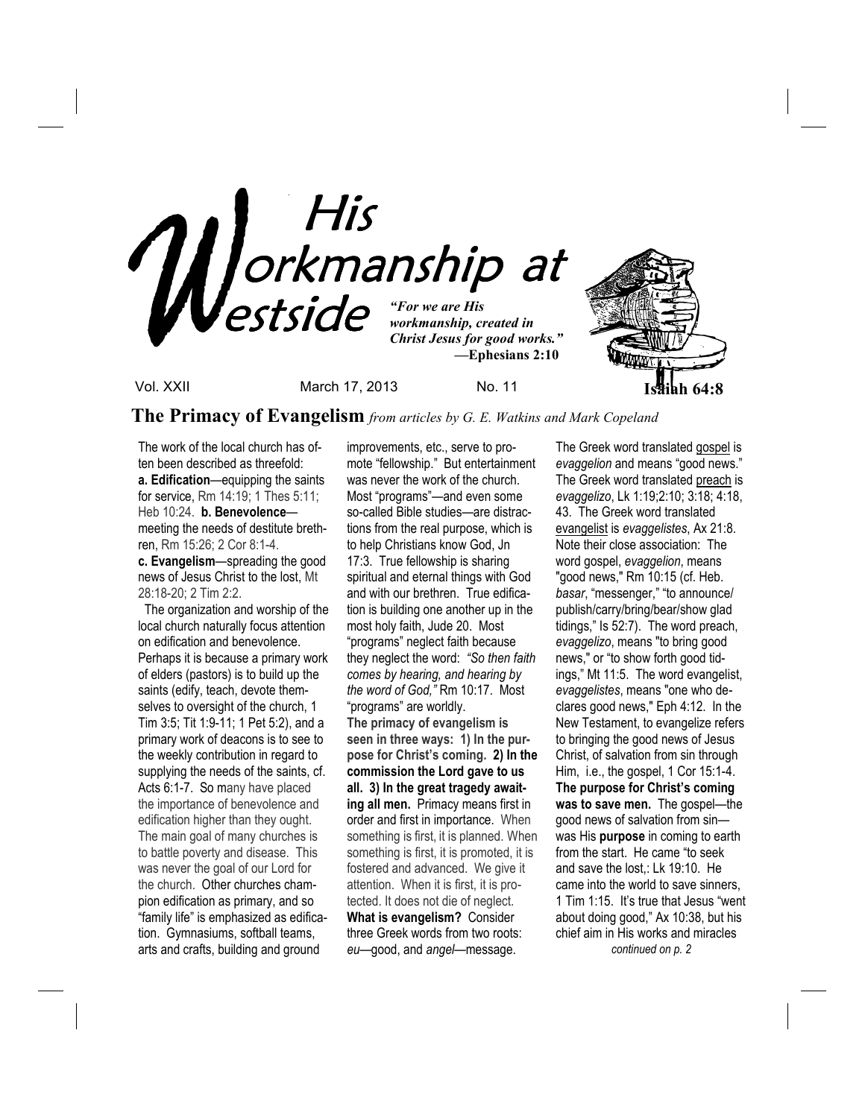

Vol. XXII March 17, 2013 No. 11 **Isaiah 64:8**

**The Primacy of Evangelism** *from articles by G. E. Watkins and Mark Copeland* 

The work of the local church has often been described as threefold: **a. Edification**—equipping the saints for service, Rm 14:19; 1 Thes 5:11; Heb 10:24. **b. Benevolence** meeting the needs of destitute brethren, Rm 15:26; 2 Cor 8:1-4. **c. Evangelism**—spreading the good news of Jesus Christ to the lost, Mt 28:18-20; 2 Tim 2:2.

 The organization and worship of the local church naturally focus attention on edification and benevolence. Perhaps it is because a primary work of elders (pastors) is to build up the saints (edify, teach, devote themselves to oversight of the church, 1 Tim 3:5; Tit 1:9-11; 1 Pet 5:2), and a primary work of deacons is to see to the weekly contribution in regard to supplying the needs of the saints, cf. Acts 6:1-7. So many have placed the importance of benevolence and edification higher than they ought. The main goal of many churches is to battle poverty and disease. This was never the goal of our Lord for the church. Other churches champion edification as primary, and so "family life" is emphasized as edification. Gymnasiums, softball teams, arts and crafts, building and ground

improvements, etc., serve to promote "fellowship." But entertainment was never the work of the church. Most "programs"—and even some so-called Bible studies—are distractions from the real purpose, which is to help Christians know God, Jn 17:3. True fellowship is sharing spiritual and eternal things with God and with our brethren. True edification is building one another up in the most holy faith, Jude 20. Most "programs" neglect faith because they neglect the word: *"So then faith comes by hearing, and hearing by the word of God,"* Rm 10:17. Most "programs" are worldly. **The primacy of evangelism is seen in three ways: 1) In the purpose for Christ's coming. 2) In the commission the Lord gave to us all. 3) In the great tragedy awaiting all men.** Primacy means first in order and first in importance. When something is first, it is planned. When something is first, it is promoted, it is fostered and advanced. We give it attention. When it is first, it is protected. It does not die of neglect. **What is evangelism?** Consider three Greek words from two roots: *eu*—good, and *angel—*message.

The Greek word translated gospel is *evaggelion* and means "good news." The Greek word translated preach is *evaggelizo*, Lk 1:19;2:10; 3:18; 4:18, 43. The Greek word translated evangelist is *evaggelistes*, Ax 21:8. Note their close association: The word gospel, *evaggelion*, means "good news," Rm 10:15 (cf. Heb. *basar*, "messenger," "to announce/ publish/carry/bring/bear/show glad tidings," Is 52:7). The word preach, *evaggelizo*, means "to bring good news," or "to show forth good tidings," Mt 11:5. The word evangelist, *evaggelistes*, means "one who declares good news," Eph 4:12. In the New Testament, to evangelize refers to bringing the good news of Jesus Christ, of salvation from sin through Him, i.e., the gospel, 1 Cor 15:1-4. **The purpose for Christ's coming was to save men.** The gospel—the good news of salvation from sin was His **purpose** in coming to earth from the start. He came "to seek and save the lost,: Lk 19:10. He came into the world to save sinners, 1 Tim 1:15. It's true that Jesus "went about doing good," Ax 10:38, but his chief aim in His works and miracles *continued on p. 2*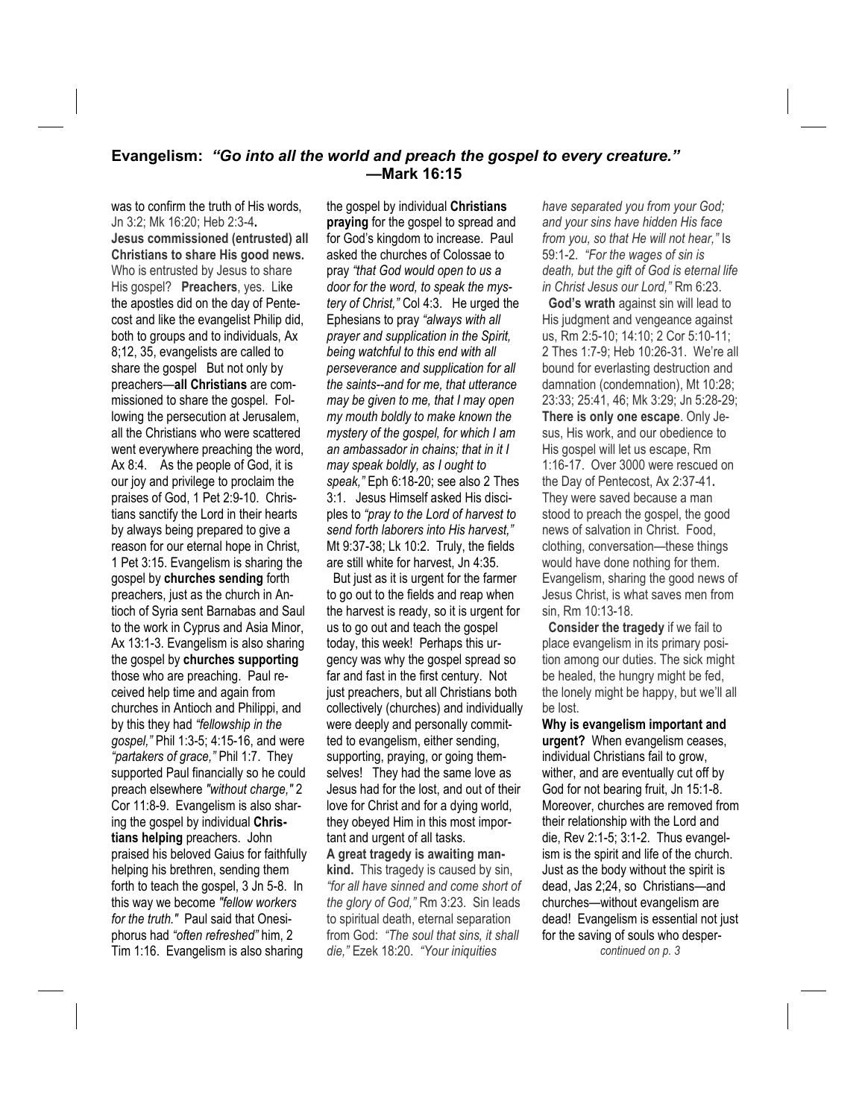## **Evangelism:** *"Go into all the world and preach the gospel to every creature."* **—Mark 16:15**

was to confirm the truth of His words, Jn 3:2; Mk 16:20; Heb 2:3-4**. Jesus commissioned (entrusted) all Christians to share His good news.**  Who is entrusted by Jesus to share His gospel? **Preachers**, yes. Like the apostles did on the day of Pentecost and like the evangelist Philip did, both to groups and to individuals, Ax 8;12, 35, evangelists are called to share the gospel But not only by preachers—**all Christians** are commissioned to share the gospel. Following the persecution at Jerusalem, all the Christians who were scattered went everywhere preaching the word, Ax 8:4. As the people of God, it is our joy and privilege to proclaim the praises of God, 1 Pet 2:9-10. Christians sanctify the Lord in their hearts by always being prepared to give a reason for our eternal hope in Christ, 1 Pet 3:15. Evangelism is sharing the gospel by **churches sending** forth preachers, just as the church in Antioch of Syria sent Barnabas and Saul to the work in Cyprus and Asia Minor, Ax 13:1-3. Evangelism is also sharing the gospel by **churches supporting** those who are preaching. Paul received help time and again from churches in Antioch and Philippi, and by this they had *"fellowship in the gospel,"* Phil 1:3-5; 4:15-16, and were *"partakers of grace,"* Phil 1:7. They supported Paul financially so he could preach elsewhere *"without charge,"* 2 Cor 11:8-9. Evangelism is also sharing the gospel by individual **Christians helping** preachers. John praised his beloved Gaius for faithfully helping his brethren, sending them forth to teach the gospel, 3 Jn 5-8. In this way we become *"fellow workers for the truth."* Paul said that Onesiphorus had *"often refreshed"* him, 2 Tim 1:16. Evangelism is also sharing

the gospel by individual **Christians praying** for the gospel to spread and for God's kingdom to increase. Paul asked the churches of Colossae to pray *"that God would open to us a door for the word, to speak the mystery of Christ,"* Col 4:3. He urged the Ephesians to pray *"always with all prayer and supplication in the Spirit, being watchful to this end with all perseverance and supplication for all the saints--and for me, that utterance may be given to me, that I may open my mouth boldly to make known the mystery of the gospel, for which I am an ambassador in chains; that in it I may speak boldly, as I ought to speak,"* Eph 6:18-20; see also 2 Thes 3:1. Jesus Himself asked His disciples to *"pray to the Lord of harvest to send forth laborers into His harvest,"* Mt 9:37-38; Lk 10:2. Truly, the fields are still white for harvest, Jn 4:35.

 But just as it is urgent for the farmer to go out to the fields and reap when the harvest is ready, so it is urgent for us to go out and teach the gospel today, this week! Perhaps this urgency was why the gospel spread so far and fast in the first century. Not just preachers, but all Christians both collectively (churches) and individually were deeply and personally committed to evangelism, either sending, supporting, praying, or going themselves! They had the same love as Jesus had for the lost, and out of their love for Christ and for a dying world, they obeyed Him in this most important and urgent of all tasks. **A great tragedy is awaiting mankind.** This tragedy is caused by sin, *"for all have sinned and come short of* 

*the glory of God,"* Rm 3:23. Sin leads to spiritual death, eternal separation from God: *"The soul that sins, it shall die,"* Ezek 18:20. *"Your iniquities* 

*have separated you from your God; and your sins have hidden His face from you, so that He will not hear,"* Is 59:1-2. *"For the wages of sin is death, but the gift of God is eternal life in Christ Jesus our Lord,"* Rm 6:23.

 **God's wrath** against sin will lead to His judgment and vengeance against us, Rm 2:5-10; 14:10; 2 Cor 5:10-11; 2 Thes 1:7-9; Heb 10:26-31. We're all bound for everlasting destruction and damnation (condemnation), Mt 10:28; 23:33; 25:41, 46; Mk 3:29; Jn 5:28-29; **There is only one escape**. Only Jesus, His work, and our obedience to His gospel will let us escape, Rm 1:16-17. Over 3000 were rescued on the Day of Pentecost, Ax 2:37-41**.** They were saved because a man stood to preach the gospel, the good news of salvation in Christ. Food, clothing, conversation—these things would have done nothing for them. Evangelism, sharing the good news of Jesus Christ, is what saves men from sin, Rm 10:13-18.

 **Consider the tragedy** if we fail to place evangelism in its primary position among our duties. The sick might be healed, the hungry might be fed, the lonely might be happy, but we'll all be lost.

**Why is evangelism important and urgent?** When evangelism ceases, individual Christians fail to grow, wither, and are eventually cut off by God for not bearing fruit, Jn 15:1-8. Moreover, churches are removed from their relationship with the Lord and die, Rev 2:1-5; 3:1-2. Thus evangelism is the spirit and life of the church. Just as the body without the spirit is dead, Jas 2;24, so Christians—and churches—without evangelism are dead! Evangelism is essential not just for the saving of souls who desper *continued on p. 3*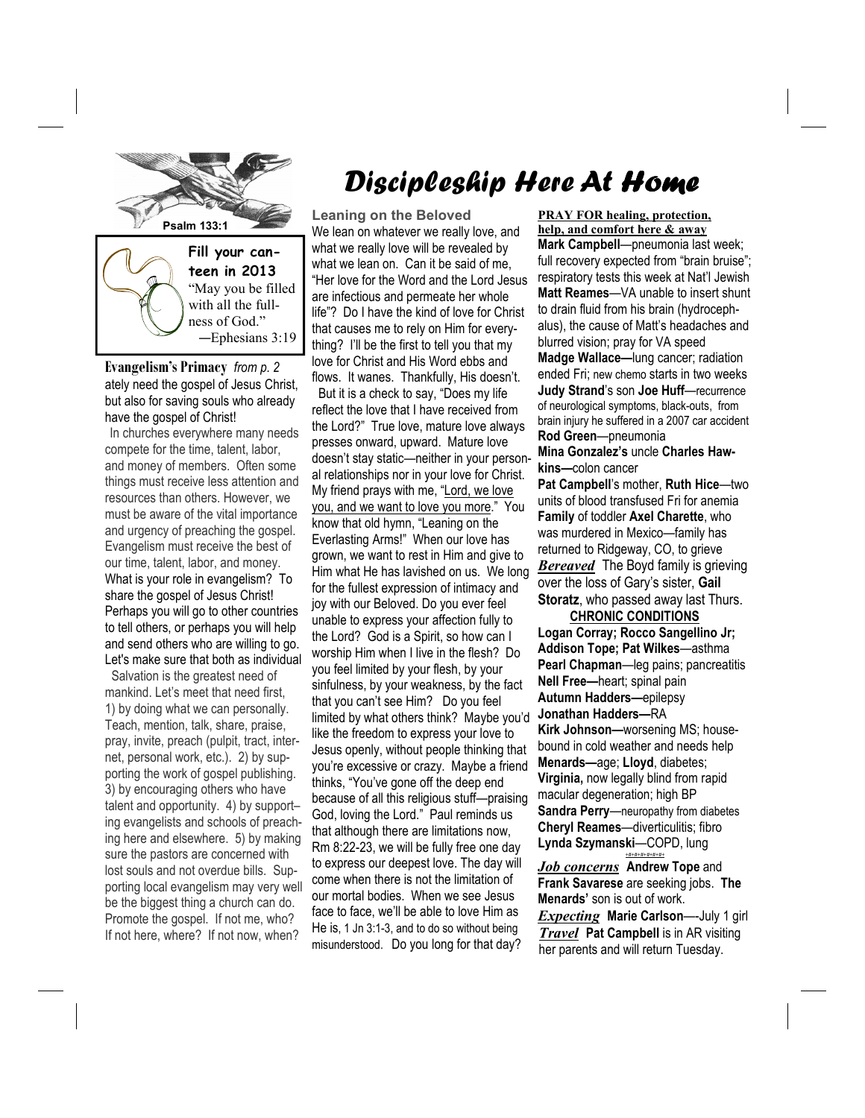

**Evangelism's Primacy** *from p. 2*  ately need the gospel of Jesus Christ, but also for saving souls who already have the gospel of Christ!

In churches everywhere many needs compete for the time, talent, labor, and money of members. Often some things must receive less attention and resources than others. However, we must be aware of the vital importance and urgency of preaching the gospel. Evangelism must receive the best of our time, talent, labor, and money. What is your role in evangelism? To share the gospel of Jesus Christ! Perhaps you will go to other countries to tell others, or perhaps you will help and send others who are willing to go. Let's make sure that both as individual

 Salvation is the greatest need of mankind. Let's meet that need first, 1) by doing what we can personally. Teach, mention, talk, share, praise, pray, invite, preach (pulpit, tract, internet, personal work, etc.). 2) by supporting the work of gospel publishing. 3) by encouraging others who have talent and opportunity. 4) by support– ing evangelists and schools of preaching here and elsewhere. 5) by making sure the pastors are concerned with lost souls and not overdue bills. Supporting local evangelism may very well be the biggest thing a church can do. Promote the gospel. If not me, who? If not here, where? If not now, when?

## Discipleship Here At Home

**Leaning on the Beloved**  We lean on whatever we really love, and what we really love will be revealed by what we lean on. Can it be said of me, "Her love for the Word and the Lord Jesus are infectious and permeate her whole life"? Do I have the kind of love for Christ that causes me to rely on Him for everything? I'll be the first to tell you that my love for Christ and His Word ebbs and flows. It wanes. Thankfully, His doesn't.

 But it is a check to say, "Does my life reflect the love that I have received from the Lord?" True love, mature love always presses onward, upward. Mature love doesn't stay static—neither in your personal relationships nor in your love for Christ. My friend prays with me, "Lord, we love you, and we want to love you more." You know that old hymn, "Leaning on the Everlasting Arms!" When our love has grown, we want to rest in Him and give to Him what He has lavished on us. We long for the fullest expression of intimacy and joy with our Beloved. Do you ever feel unable to express your affection fully to the Lord? God is a Spirit, so how can I worship Him when I live in the flesh? Do you feel limited by your flesh, by your sinfulness, by your weakness, by the fact that you can't see Him? Do you feel limited by what others think? Maybe you'd like the freedom to express your love to Jesus openly, without people thinking that you're excessive or crazy. Maybe a friend thinks, "You've gone off the deep end because of all this religious stuff—praising God, loving the Lord." Paul reminds us that although there are limitations now, Rm 8:22-23, we will be fully free one day to express our deepest love. The day will come when there is not the limitation of our mortal bodies. When we see Jesus face to face, we'll be able to love Him as He is, 1 Jn 3:1-3, and to do so without being misunderstood. Do you long for that day?

**PRAY FOR healing, protection, help, and comfort here & away**

**Mark Campbell**—pneumonia last week; full recovery expected from "brain bruise"; respiratory tests this week at Nat'l Jewish **Matt Reames**—VA unable to insert shunt to drain fluid from his brain (hydrocephalus), the cause of Matt's headaches and blurred vision; pray for VA speed

**Madge Wallace—**lung cancer; radiation ended Fri; new chemo starts in two weeks **Judy Strand**'s son **Joe Huff**—recurrence of neurological symptoms, black-outs, from brain injury he suffered in a 2007 car accident **Rod Green**—pneumonia

**Mina Gonzalez's** uncle **Charles Hawkins—**colon cancer

**Pat Campbell**'s mother, **Ruth Hice**—two units of blood transfused Fri for anemia **Family** of toddler **Axel Charette**, who was murdered in Mexico—family has returned to Ridgeway, CO, to grieve *Bereaved* The Boyd family is grieving over the loss of Gary's sister, **Gail Storatz**, who passed away last Thurs.

 **CHRONIC CONDITIONS Logan Corray; Rocco Sangellino Jr; Addison Tope; Pat Wilkes**—asthma **Pearl Chapman**—leg pains; pancreatitis **Nell Free—**heart; spinal pain **Autumn Hadders—**epilepsy **Jonathan Hadders—**RA **Kirk Johnson—**worsening MS; housebound in cold weather and needs help **Menards—**age; **Lloyd**, diabetes; **Virginia,** now legally blind from rapid macular degeneration; high BP **Sandra Perry**—neuropathy from diabetes **Cheryl Reames**—diverticulitis; fibro **Lynda Szymanski**—COPD, lung *+#+#+#+#+#+#+*

*Job concerns* **Andrew Tope** and **Frank Savarese** are seeking jobs. **The Menards'** son is out of work. *Expecting* **Marie Carlson**—-July 1 girl *Travel* **Pat Campbell** is in AR visiting her parents and will return Tuesday.